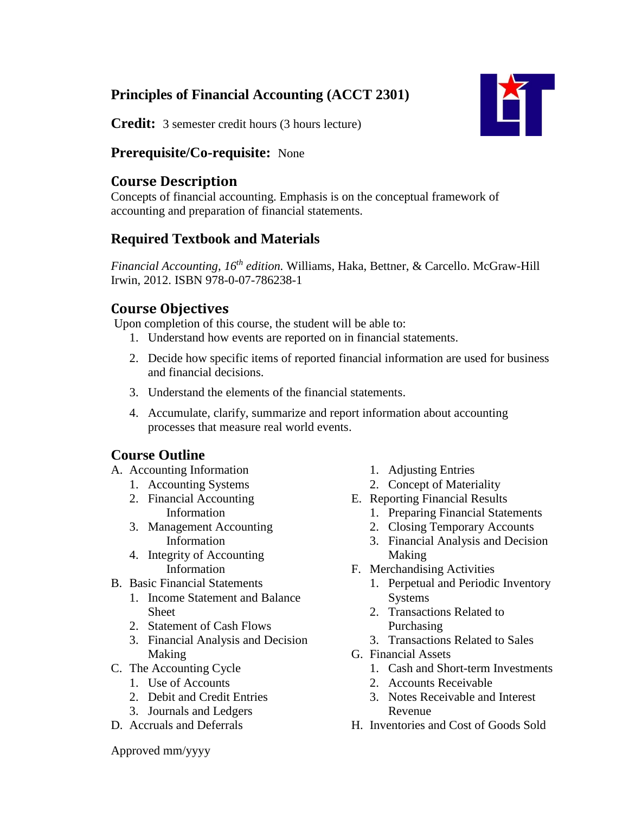# **Principles of Financial Accounting (ACCT 2301)**



**Credit:** 3 semester credit hours (3 hours lecture)

### **Prerequisite/Co-requisite:** None

### **Course Description**

Concepts of financial accounting. Emphasis is on the conceptual framework of accounting and preparation of financial statements.

## **Required Textbook and Materials**

*Financial Accounting, 16 th edition.* Williams, Haka, Bettner, & Carcello. McGraw-Hill Irwin, 2012. ISBN 978-0-07-786238-1

## **Course Objectives**

Upon completion of this course, the student will be able to:

- 1. Understand how events are reported on in financial statements.
- 2. Decide how specific items of reported financial information are used for business and financial decisions.
- 3. Understand the elements of the financial statements.
- 4. Accumulate, clarify, summarize and report information about accounting processes that measure real world events.

## **Course Outline**

- A. Accounting Information
	- 1. Accounting Systems
	- 2. Financial Accounting Information
	- 3. Management Accounting Information
	- 4. Integrity of Accounting Information
- B. Basic Financial Statements
	- 1. Income Statement and Balance Sheet
	- 2. Statement of Cash Flows
	- 3. Financial Analysis and Decision Making
- C. The Accounting Cycle
	- 1. Use of Accounts
	- 2. Debit and Credit Entries
	- 3. Journals and Ledgers
- D. Accruals and Deferrals
- 1. Adjusting Entries
- 2. Concept of Materiality
- E. Reporting Financial Results
	- 1. Preparing Financial Statements
	- 2. Closing Temporary Accounts
	- 3. Financial Analysis and Decision Making
- F. Merchandising Activities
	- 1. Perpetual and Periodic Inventory Systems
	- 2. Transactions Related to Purchasing
	- 3. Transactions Related to Sales
- G. Financial Assets
	- 1. Cash and Short-term Investments
	- 2. Accounts Receivable
	- 3. Notes Receivable and Interest Revenue
- H. Inventories and Cost of Goods Sold

Approved mm/yyyy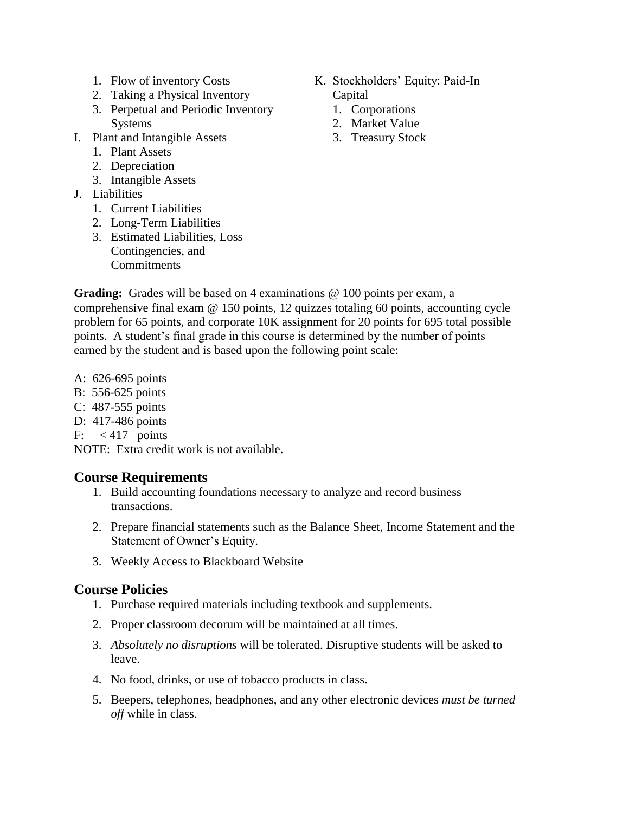- 1. Flow of inventory Costs
- 2. Taking a Physical Inventory
- 3. Perpetual and Periodic Inventory Systems
- I. Plant and Intangible Assets
	- 1. Plant Assets
	- 2. Depreciation
	- 3. Intangible Assets
- J. Liabilities
	- 1. Current Liabilities
	- 2. Long-Term Liabilities
	- 3. Estimated Liabilities, Loss Contingencies, and Commitments
- K. Stockholders' Equity: Paid-In Capital
	- 1. Corporations
	- 2. Market Value
	- 3. Treasury Stock

Grading: Grades will be based on 4 examinations @ 100 points per exam, a comprehensive final exam  $\omega$  150 points, 12 quizzes totaling 60 points, accounting cycle problem for 65 points, and corporate 10K assignment for 20 points for 695 total possible points. A student's final grade in this course is determined by the number of points earned by the student and is based upon the following point scale:

- A: 626-695 points
- B: 556-625 points
- C: 487-555 points
- D: 417-486 points
- F:  $< 417$  points

NOTE: Extra credit work is not available.

#### **Course Requirements**

- 1. Build accounting foundations necessary to analyze and record business transactions.
- 2. Prepare financial statements such as the Balance Sheet, Income Statement and the Statement of Owner's Equity.
- 3. Weekly Access to Blackboard Website

### **Course Policies**

- 1. Purchase required materials including textbook and supplements.
- 2. Proper classroom decorum will be maintained at all times.
- 3. *Absolutely no disruptions* will be tolerated. Disruptive students will be asked to leave.
- 4. No food, drinks, or use of tobacco products in class.
- 5. Beepers, telephones, headphones, and any other electronic devices *must be turned off* while in class.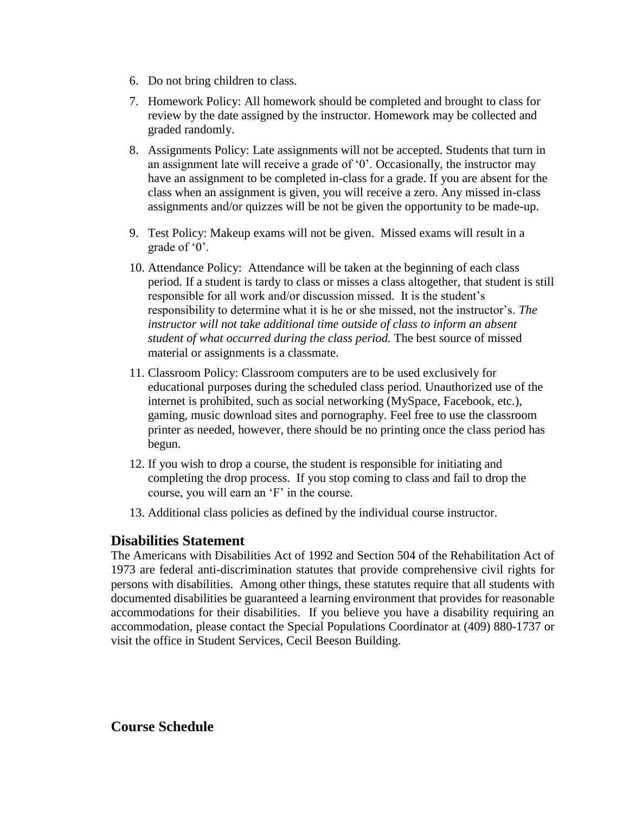- 6. Do not bring children to class.
- 7. Homework Policy: All homework should be completed and brought to class for review by the date assigned by the instructor. Homework may be collected and graded randomly.
- 8. Assignments Policy: Late assignments will not be accepted. Students that turn in an assignment late will receive a grade of '0'. Occasionally, the instructor may have an assignment to be completed in-class for a grade. If you are absent for the class when an assignment is given, you will receive a zero. Any missed in-class assignments and/or quizzes will be not be given the opportunity to be made-up.
- 9. Test Policy: Makeup exams will not be given. Missed exams will result in a grade of '0'.
- 10. Attendance Policy: Attendance will be taken at the beginning of each class period. If a student is tardy to class or misses a class altogether, that student is still responsible for all work and/or discussion missed. It is the student's responsibility to determine what it is he or she missed, not the instructor's. *The instructor will not take additional time outside of class to inform an absent student of what occurred during the class period.* The best source of missed material or assignments is a classmate.
- 11. Classroom Policy: Classroom computers are to be used exclusively for educational purposes during the scheduled class period. Unauthorized use of the internet is prohibited, such as social networking (MySpace, Facebook, etc.), gaming, music download sites and pornography. Feel free to use the classroom printer as needed, however, there should be no printing once the class period has begun.
- 12. If you wish to drop a course, the student is responsible for initiating and completing the drop process. If you stop coming to class and fail to drop the course, you will earn an 'F' in the course.
- 13. Additional class policies as defined by the individual course instructor.

### **Disabilities Statement**

The Americans with Disabilities Act of 1992 and Section 504 of the Rehabilitation Act of 1973 are federal anti-discrimination statutes that provide comprehensive civil rights for persons with disabilities. Among other things, these statutes require that all students with documented disabilities be guaranteed a learning environment that provides for reasonable accommodations for their disabilities. If you believe you have a disability requiring an accommodation, please contact the Special Populations Coordinator at (409) 880-1737 or visit the office in Student Services, Cecil Beeson Building.

### **Course Schedule**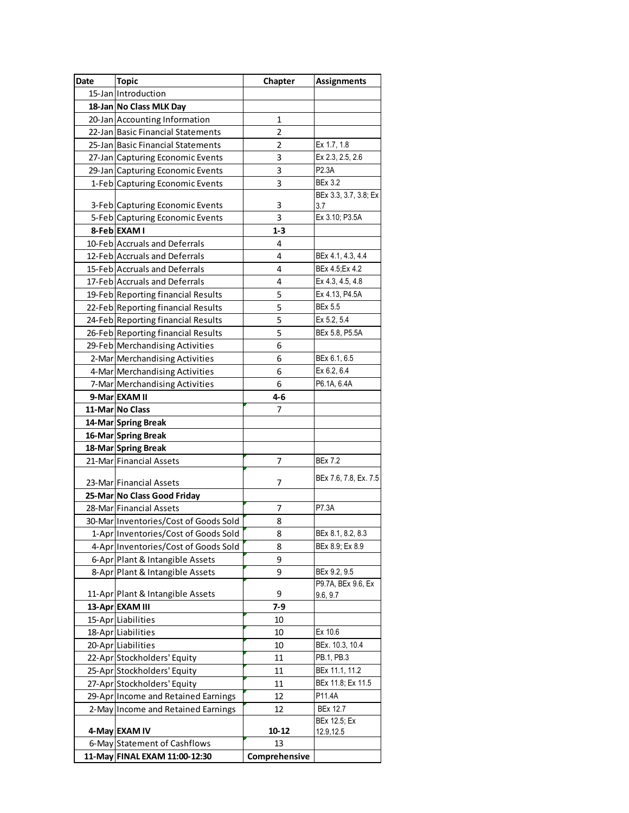| Date | <b>Topic</b>                          | Chapter       | <b>Assignments</b>                 |
|------|---------------------------------------|---------------|------------------------------------|
|      | 15-Jan Introduction                   |               |                                    |
|      | 18-Jan No Class MLK Day               |               |                                    |
|      | 20-Jan Accounting Information         | 1             |                                    |
|      | 22-Jan Basic Financial Statements     | 2             |                                    |
|      | 25-Jan Basic Financial Statements     | 2             | Ex 1.7, 1.8                        |
|      | 27-Jan Capturing Economic Events      | 3             | Ex 2.3, 2.5, 2.6                   |
|      | 29-Jan Capturing Economic Events      | 3             | P2.3A                              |
|      | 1-Feb Capturing Economic Events       | 3             | <b>BEx 3.2</b>                     |
|      |                                       | 3             | BEx 3.3, 3.7, 3.8; Ex              |
|      | 3-Feb Capturing Economic Events       | 3.7           |                                    |
|      | 5-Feb Capturing Economic Events       | 3             | Ex 3.10; P3.5A                     |
|      | 8-Feb EXAM I                          | $1 - 3$       |                                    |
|      | 10-Feb Accruals and Deferrals         | 4             |                                    |
|      | 12-Feb Accruals and Deferrals         | 4             | BEx 4.1, 4.3, 4.4                  |
|      | 15-Feb Accruals and Deferrals         | 4             | BEx 4.5; Ex 4.2                    |
|      | 17-Feb Accruals and Deferrals         | 4             | Ex 4.3, 4.5, 4.8                   |
|      | 19-Feb Reporting financial Results    | 5             | Ex 4.13, P4.5A                     |
|      | 22-Feb Reporting financial Results    | 5             | <b>BEx 5.5</b>                     |
|      | 24-Feb Reporting financial Results    | 5             | Ex 5.2, 5.4                        |
|      | 26-Feb Reporting financial Results    | 5             | BEx 5.8, P5.5A                     |
|      | 29-Feb Merchandising Activities       | 6             |                                    |
|      | 2-Mar Merchandising Activities        | 6             | BEx 6.1, 6.5                       |
|      | 4-Mar Merchandising Activities        | 6             | Ex 6.2, 6.4                        |
|      | 7-Mar Merchandising Activities        | 6             | P6.1A, 6.4A                        |
|      | 9-Mar EXAM II                         | $4 - 6$       |                                    |
|      | 11-Mar No Class                       | 7             |                                    |
|      | 14-Mar Spring Break                   |               |                                    |
|      | 16-Mar Spring Break                   |               |                                    |
|      | 18-Mar Spring Break                   |               |                                    |
|      | 21-Mar Financial Assets               | 7             | <b>BEx 7.2</b>                     |
|      |                                       |               | BEx 7.6, 7.8, Ex. 7.5              |
|      | 23-Mar Financial Assets               | 7             |                                    |
|      | 25-Mar No Class Good Friday           |               | P7.3A                              |
|      | 28-Mar Financial Assets               | 7             |                                    |
|      | 30-Mar Inventories/Cost of Goods Sold | 8             |                                    |
|      | 1-Apr Inventories/Cost of Goods Sold  | 8             | BEx 8.1, 8.2, 8.3                  |
|      | 4-Apr Inventories/Cost of Goods Sold  | 8             | BEx 8.9; Ex 8.9                    |
|      | 6-Apr Plant & Intangible Assets       | 9             |                                    |
|      | 8-Apr Plant & Intangible Assets       | 9             | BEx 9.2, 9.5<br>P9.7A, BEx 9.6, Ex |
|      | 11-Apr Plant & Intangible Assets      | 9             | 9.6, 9.7                           |
|      | 13-Apr EXAM III                       | $7-9$         |                                    |
|      | 15-Apr Liabilities                    | 10            |                                    |
|      | 18-Apr Liabilities                    | 10            | Ex 10.6                            |
|      | 20-Apr Liabilities                    | 10            | BEx. 10.3, 10.4                    |
|      | 22-Apr Stockholders' Equity           | 11            | PB.1, PB.3                         |
|      | 25-Apr Stockholders' Equity           | 11            | BEx 11.1, 11.2                     |
|      | 27-Apr Stockholders' Equity           | 11            | BEx 11.8; Ex 11.5                  |
|      | 29-Apr Income and Retained Earnings   | 12            | P11.4A                             |
|      | 2-May Income and Retained Earnings    | 12            | <b>BEx 12.7</b>                    |
|      |                                       |               | BEx 12.5; Ex                       |
|      | 4-May EXAM IV                         | 10-12         | 12.9,12.5                          |
|      | 6-May Statement of Cashflows          | 13            |                                    |
|      | 11-May FINAL EXAM 11:00-12:30         | Comprehensive |                                    |